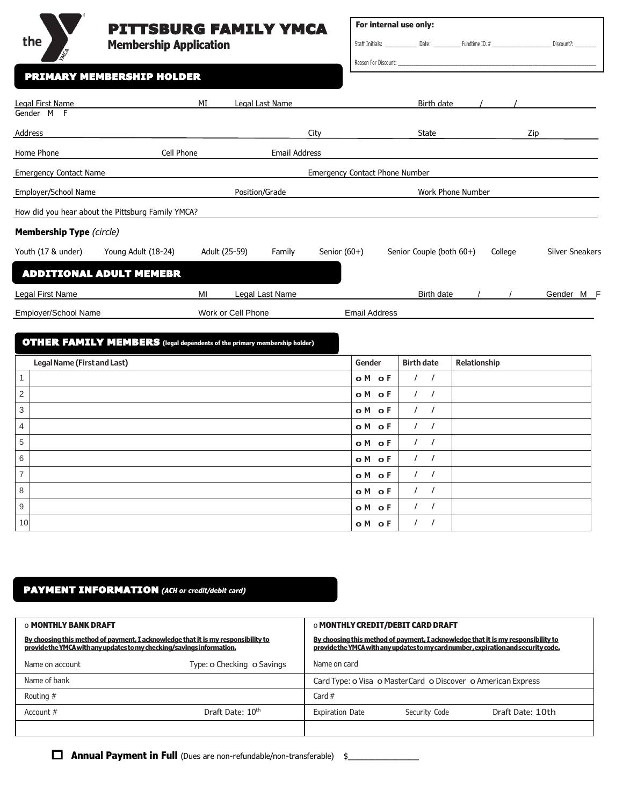# PITTSBURG FAMILY YMCA

 **o M o F** / / **o M o F** / / **o M o F** / / **o M o F** / / **o M** of **F**  $\left| \begin{array}{c} I \end{array} \right|$  / / **o M o F** / / **o M o F**  $\vert$  / *i* 

**Membership Application**

| For internal use only: |       |                |            |
|------------------------|-------|----------------|------------|
| Staff Initials:        | Date: | Fundtime ID. # | Discount?: |

Reason For Discount: \_

|  |  |  |  | PRIMARY MEMBERSHIP HOLDER |  |  |  |  |  |  |
|--|--|--|--|---------------------------|--|--|--|--|--|--|
|  |  |  |  |                           |  |  |  |  |  |  |

the  $\Bigg)$ 

| Gender M F<br>Address<br><b>State</b><br>Zip<br>City<br>Cell Phone<br><b>Email Address</b><br>Home Phone                      |                        |
|-------------------------------------------------------------------------------------------------------------------------------|------------------------|
|                                                                                                                               |                        |
|                                                                                                                               |                        |
| <b>Emergency Contact Name</b><br><b>Emergency Contact Phone Number</b>                                                        |                        |
| Employer/School Name<br>Position/Grade<br><b>Work Phone Number</b>                                                            |                        |
| How did you hear about the Pittsburg Family YMCA?                                                                             |                        |
| <b>Membership Type (circle)</b>                                                                                               |                        |
| Youth (17 & under)<br>Young Adult (18-24)<br>Adult (25-59)<br>Senior $(60+)$<br>Senior Couple (both 60+)<br>Family<br>College | <b>Silver Sneakers</b> |
| <b>ADDITIONAL ADULT MEMEBR</b>                                                                                                |                        |
| MI<br>Legal First Name<br>Legal Last Name<br>Birth date                                                                       | Gender M F             |
| Work or Cell Phone<br>Employer/School Name<br><b>Email Address</b>                                                            |                        |
| <b>OTHER FAMILY MEMBERS</b> (legal dependents of the primary membership holder)                                               |                        |
| <b>Birth date</b><br>Legal Name (First and Last)<br>Gender<br>Relationship                                                    |                        |
| 1<br>o M<br>o F<br>$\sqrt{2}$<br>$\prime$                                                                                     |                        |
| $\overline{2}$<br>o M<br>$\bullet$ F<br>3<br>o M<br>$\circ$ F                                                                 |                        |

# PAYMENT INFORMATION *(ACH or credit/debit card)*

| <b>O MONTHLY BANK DRAFT</b>                                                                                                                                | <b>O MONTHLY CREDIT/DEBIT CARD DRAFT</b>                                                                                                                                |                        |                                                              |                  |  |
|------------------------------------------------------------------------------------------------------------------------------------------------------------|-------------------------------------------------------------------------------------------------------------------------------------------------------------------------|------------------------|--------------------------------------------------------------|------------------|--|
| By choosing this method of payment, I acknowledge that it is my responsibility to<br>provide the YMCA with any updates to my checking/savings information. | By choosing this method of payment, I acknowledge that it is my responsibility to<br>provide the YMCA with any updates to my card number, expiration and security code. |                        |                                                              |                  |  |
| Name on account                                                                                                                                            | Type: o Checking o Savings                                                                                                                                              | Name on card           |                                                              |                  |  |
| Name of bank                                                                                                                                               |                                                                                                                                                                         |                        | Card Type: o Visa o MasterCard o Discover o American Express |                  |  |
| Routing #                                                                                                                                                  |                                                                                                                                                                         | Card $#$               |                                                              |                  |  |
| Account $#$                                                                                                                                                | Draft Date: 10 <sup>th</sup>                                                                                                                                            | <b>Expiration Date</b> | Security Code                                                | Draft Date: 10th |  |
|                                                                                                                                                            |                                                                                                                                                                         |                        |                                                              |                  |  |

 **Annual Payment in Full** (Dues are non-refundable/non-transferable) \$\_\_\_\_\_\_\_\_\_\_\_\_\_\_\_\_\_\_\_\_\_